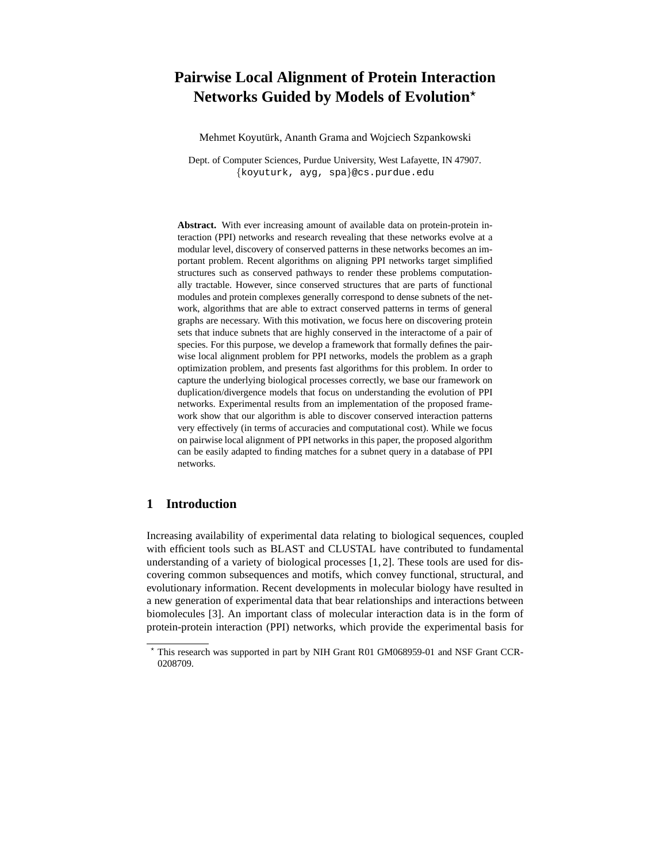# **Pairwise Local Alignment of Protein Interaction Networks Guided by Models of Evolution**<sup>⋆</sup>

Mehmet Koyutürk, Ananth Grama and Wojciech Szpankowski

Dept. of Computer Sciences, Purdue University, West Lafayette, IN 47907. {koyuturk, ayg, spa}@cs.purdue.edu

**Abstract.** With ever increasing amount of available data on protein-protein interaction (PPI) networks and research revealing that these networks evolve at a modular level, discovery of conserved patterns in these networks becomes an important problem. Recent algorithms on aligning PPI networks target simplified structures such as conserved pathways to render these problems computationally tractable. However, since conserved structures that are parts of functional modules and protein complexes generally correspond to dense subnets of the network, algorithms that are able to extract conserved patterns in terms of general graphs are necessary. With this motivation, we focus here on discovering protein sets that induce subnets that are highly conserved in the interactome of a pair of species. For this purpose, we develop a framework that formally defines the pairwise local alignment problem for PPI networks, models the problem as a graph optimization problem, and presents fast algorithms for this problem. In order to capture the underlying biological processes correctly, we base our framework on duplication/divergence models that focus on understanding the evolution of PPI networks. Experimental results from an implementation of the proposed framework show that our algorithm is able to discover conserved interaction patterns very effectively (in terms of accuracies and computational cost). While we focus on pairwise local alignment of PPI networks in this paper, the proposed algorithm can be easily adapted to finding matches for a subnet query in a database of PPI networks.

## **1 Introduction**

Increasing availability of experimental data relating to biological sequences, coupled with efficient tools such as BLAST and CLUSTAL have contributed to fundamental understanding of a variety of biological processes [1, 2]. These tools are used for discovering common subsequences and motifs, which convey functional, structural, and evolutionary information. Recent developments in molecular biology have resulted in a new generation of experimental data that bear relationships and interactions between biomolecules [3]. An important class of molecular interaction data is in the form of protein-protein interaction (PPI) networks, which provide the experimental basis for

This research was supported in part by NIH Grant R01 GM068959-01 and NSF Grant CCR-0208709.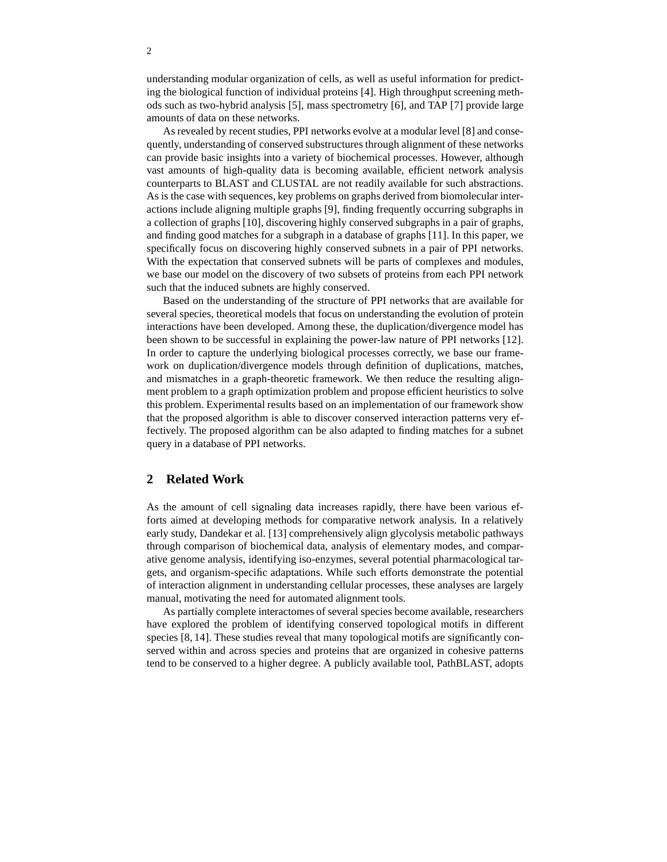understanding modular organization of cells, as well as useful information for predicting the biological function of individual proteins [4]. High throughput screening methods such as two-hybrid analysis [5], mass spectrometry [6], and TAP [7] provide large amounts of data on these networks.

As revealed by recent studies, PPI networks evolve at a modular level [8] and consequently, understanding of conserved substructures through alignment of these networks can provide basic insights into a variety of biochemical processes. However, although vast amounts of high-quality data is becoming available, efficient network analysis counterparts to BLAST and CLUSTAL are not readily available for such abstractions. As is the case with sequences, key problems on graphs derived from biomolecular interactions include aligning multiple graphs [9], finding frequently occurring subgraphs in a collection of graphs [10], discovering highly conserved subgraphs in a pair of graphs, and finding good matches for a subgraph in a database of graphs [11]. In this paper, we specifically focus on discovering highly conserved subnets in a pair of PPI networks. With the expectation that conserved subnets will be parts of complexes and modules, we base our model on the discovery of two subsets of proteins from each PPI network such that the induced subnets are highly conserved.

Based on the understanding of the structure of PPI networks that are available for several species, theoretical models that focus on understanding the evolution of protein interactions have been developed. Among these, the duplication/divergence model has been shown to be successful in explaining the power-law nature of PPI networks [12]. In order to capture the underlying biological processes correctly, we base our framework on duplication/divergence models through definition of duplications, matches, and mismatches in a graph-theoretic framework. We then reduce the resulting alignment problem to a graph optimization problem and propose efficient heuristics to solve this problem. Experimental results based on an implementation of our framework show that the proposed algorithm is able to discover conserved interaction patterns very effectively. The proposed algorithm can be also adapted to finding matches for a subnet query in a database of PPI networks.

## **2 Related Work**

As the amount of cell signaling data increases rapidly, there have been various efforts aimed at developing methods for comparative network analysis. In a relatively early study, Dandekar et al. [13] comprehensively align glycolysis metabolic pathways through comparison of biochemical data, analysis of elementary modes, and comparative genome analysis, identifying iso-enzymes, several potential pharmacological targets, and organism-specific adaptations. While such efforts demonstrate the potential of interaction alignment in understanding cellular processes, these analyses are largely manual, motivating the need for automated alignment tools.

As partially complete interactomes of several species become available, researchers have explored the problem of identifying conserved topological motifs in different species [8, 14]. These studies reveal that many topological motifs are significantly conserved within and across species and proteins that are organized in cohesive patterns tend to be conserved to a higher degree. A publicly available tool, PathBLAST, adopts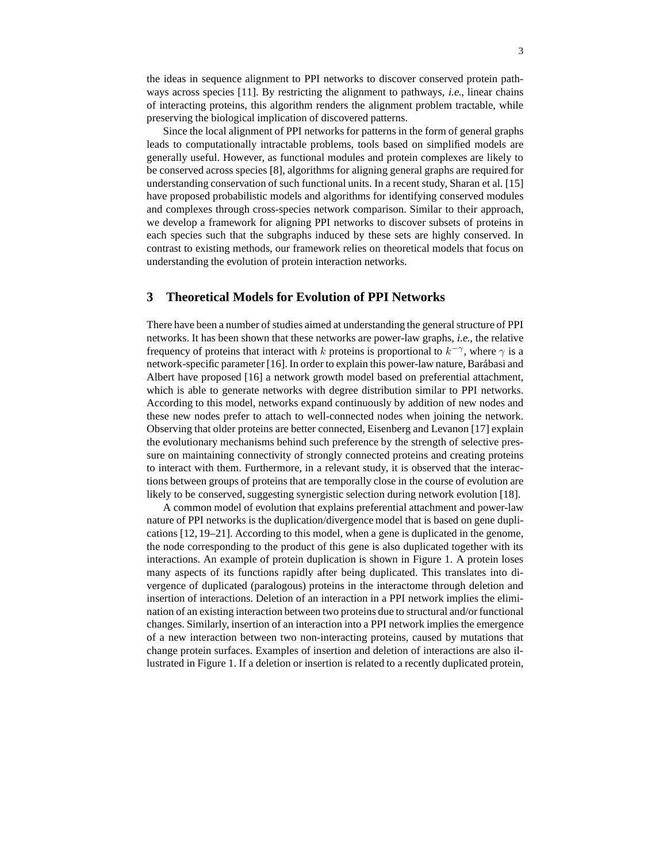the ideas in sequence alignment to PPI networks to discover conserved protein pathways across species [11]. By restricting the alignment to pathways, i.e., linear chains of interacting proteins, this algorithm renders the alignment problem tractable, while preserving the biological implication of discovered patterns.

Since the local alignment of PPI networks for patterns in the form of general graphs leads to computationally intractable problems, tools based on simplified models are generally useful. However, as functional modules and protein complexes are likely to be conserved across species [8], algorithms for aligning general graphs are required for understanding conservation of such functional units. In a recent study, Sharan et al. [15] have proposed probabilistic models and algorithms for identifying conserved modules and complexes through cross-species network comparison. Similar to their approach, we develop a framework for aligning PPI networks to discover subsets of proteins in each species such that the subgraphs induced by these sets are highly conserved. In contrast to existing methods, our framework relies on theoretical models that focus on understanding the evolution of protein interaction networks.

## **3 Theoretical Models for Evolution of PPI Networks**

There have been a number of studies aimed at understanding the general structure of PPI networks. It has been shown that these networks are power-law graphs, i.e., the relative frequency of proteins that interact with k proteins is proportional to  $k^{-\gamma}$ , where  $\gamma$  is a network-specific parameter [16]. In order to explain this power-law nature, Barábasi and Albert have proposed [16] a network growth model based on preferential attachment, which is able to generate networks with degree distribution similar to PPI networks. According to this model, networks expand continuously by addition of new nodes and these new nodes prefer to attach to well-connected nodes when joining the network. Observing that older proteins are better connected, Eisenberg and Levanon [17] explain the evolutionary mechanisms behind such preference by the strength of selective pressure on maintaining connectivity of strongly connected proteins and creating proteins to interact with them. Furthermore, in a relevant study, it is observed that the interactions between groups of proteins that are temporally close in the course of evolution are likely to be conserved, suggesting synergistic selection during network evolution [18].

A common model of evolution that explains preferential attachment and power-law nature of PPI networks is the duplication/divergence model that is based on gene duplications [12, 19–21]. According to this model, when a gene is duplicated in the genome, the node corresponding to the product of this gene is also duplicated together with its interactions. An example of protein duplication is shown in Figure 1. A protein loses many aspects of its functions rapidly after being duplicated. This translates into divergence of duplicated (paralogous) proteins in the interactome through deletion and insertion of interactions. Deletion of an interaction in a PPI network implies the elimination of an existing interaction between two proteins due to structural and/or functional changes. Similarly, insertion of an interaction into a PPI network implies the emergence of a new interaction between two non-interacting proteins, caused by mutations that change protein surfaces. Examples of insertion and deletion of interactions are also illustrated in Figure 1. If a deletion or insertion is related to a recently duplicated protein,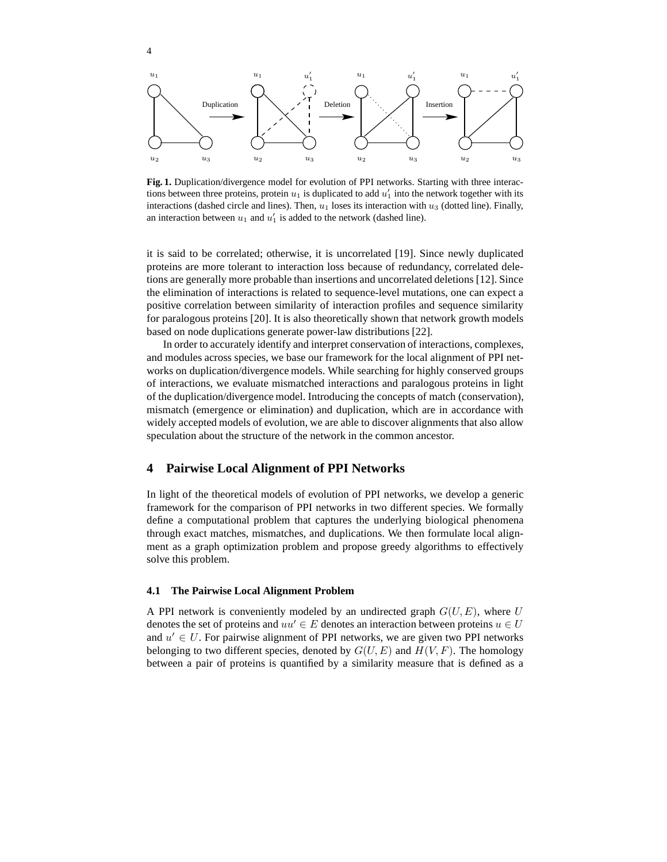

4

**Fig. 1.** Duplication/divergence model for evolution of PPI networks. Starting with three interactions between three proteins, protein  $u_1$  is duplicated to add  $u'_1$  into the network together with its interactions (dashed circle and lines). Then,  $u_1$  loses its interaction with  $u_3$  (dotted line). Finally, an interaction between  $u_1$  and  $u'_1$  is added to the network (dashed line).

it is said to be correlated; otherwise, it is uncorrelated [19]. Since newly duplicated proteins are more tolerant to interaction loss because of redundancy, correlated deletions are generally more probable than insertions and uncorrelated deletions [12]. Since the elimination of interactions is related to sequence-level mutations, one can expect a positive correlation between similarity of interaction profiles and sequence similarity for paralogous proteins [20]. It is also theoretically shown that network growth models based on node duplications generate power-law distributions [22].

In order to accurately identify and interpret conservation of interactions, complexes, and modules across species, we base our framework for the local alignment of PPI networks on duplication/divergence models. While searching for highly conserved groups of interactions, we evaluate mismatched interactions and paralogous proteins in light of the duplication/divergence model. Introducing the concepts of match (conservation), mismatch (emergence or elimination) and duplication, which are in accordance with widely accepted models of evolution, we are able to discover alignments that also allow speculation about the structure of the network in the common ancestor.

#### **4 Pairwise Local Alignment of PPI Networks**

In light of the theoretical models of evolution of PPI networks, we develop a generic framework for the comparison of PPI networks in two different species. We formally define a computational problem that captures the underlying biological phenomena through exact matches, mismatches, and duplications. We then formulate local alignment as a graph optimization problem and propose greedy algorithms to effectively solve this problem.

#### **4.1 The Pairwise Local Alignment Problem**

A PPI network is conveniently modeled by an undirected graph  $G(U, E)$ , where U denotes the set of proteins and  $uu' \in E$  denotes an interaction between proteins  $u \in U$ and  $u' \in U$ . For pairwise alignment of PPI networks, we are given two PPI networks belonging to two different species, denoted by  $G(U, E)$  and  $H(V, F)$ . The homology between a pair of proteins is quantified by a similarity measure that is defined as a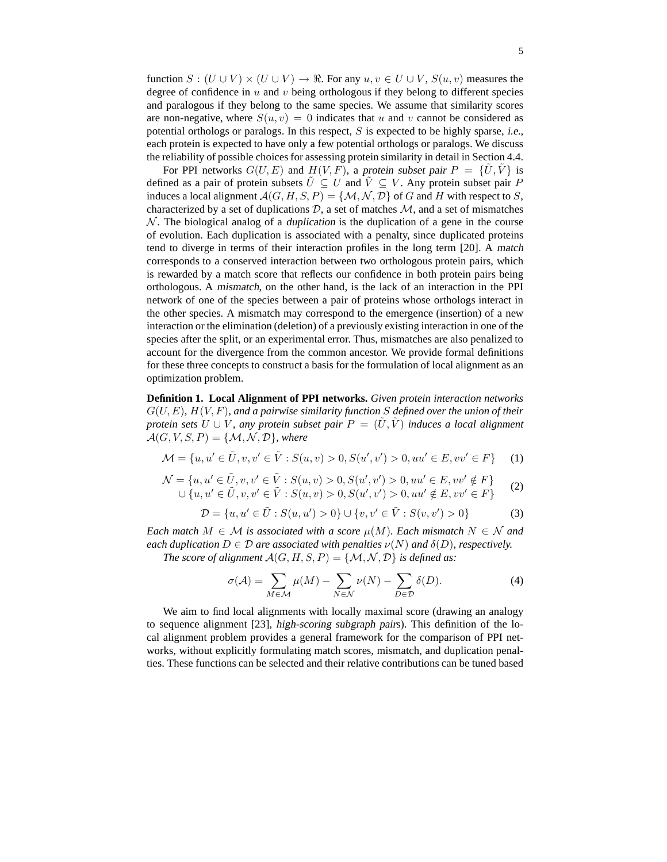function  $S : (U \cup V) \times (U \cup V) \rightarrow \Re$ . For any  $u, v \in U \cup V$ ,  $S(u, v)$  measures the degree of confidence in u and v being orthologous if they belong to different species and paralogous if they belong to the same species. We assume that similarity scores are non-negative, where  $S(u, v) = 0$  indicates that u and v cannot be considered as potential orthologs or paralogs. In this respect,  $S$  is expected to be highly sparse, *i.e.*, each protein is expected to have only a few potential orthologs or paralogs. We discuss the reliability of possible choices for assessing protein similarity in detail in Section 4.4.

For PPI networks  $G(U, E)$  and  $H(V, F)$ , a protein subset pair  $P = \{U, V\}$  is defined as a pair of protein subsets  $\tilde{U} \subseteq U$  and  $\tilde{V} \subseteq V$ . Any protein subset pair P induces a local alignment  $A(G, H, S, P) = \{M, \mathcal{N}, \mathcal{D}\}\$  of G and H with respect to S, characterized by a set of duplications  $D$ , a set of matches  $M$ , and a set of mismatches  $N$ . The biological analog of a duplication is the duplication of a gene in the course of evolution. Each duplication is associated with a penalty, since duplicated proteins tend to diverge in terms of their interaction profiles in the long term [20]. A match corresponds to a conserved interaction between two orthologous protein pairs, which is rewarded by a match score that reflects our confidence in both protein pairs being orthologous. A mismatch, on the other hand, is the lack of an interaction in the PPI network of one of the species between a pair of proteins whose orthologs interact in the other species. A mismatch may correspond to the emergence (insertion) of a new interaction or the elimination (deletion) of a previously existing interaction in one of the species after the split, or an experimental error. Thus, mismatches are also penalized to account for the divergence from the common ancestor. We provide formal definitions for these three concepts to construct a basis for the formulation of local alignment as an optimization problem.

**Definition 1. Local Alignment of PPI networks.** *Given protein interaction networks* G(U, E)*,* H(V, F)*, and a pairwise similarity function* S *defined over the union of their protein sets*  $U \cup V$ *, any protein subset pair*  $P = (\tilde{U}, \tilde{V})$  *induces a local alignment*  $\mathcal{A}(G, V, S, P) = \{M, \mathcal{N}, \mathcal{D}\}\$ , where

$$
\mathcal{M} = \{u, u' \in \tilde{U}, v, v' \in \tilde{V} : S(u, v) > 0, S(u', v') > 0, uu' \in E, vv' \in F\}
$$
 (1)

$$
\mathcal{N} = \{u, u' \in \tilde{U}, v, v' \in \tilde{V} : S(u, v) > 0, S(u', v') > 0, uu' \in E, vv' \notin F\} \cup \{u, u' \in \tilde{U}, v, v' \in \tilde{V} : S(u, v) > 0, S(u', v') > 0, uu' \notin E, vv' \in F\}
$$
 (2)

$$
\mathcal{D} = \{u, u' \in \tilde{U} : S(u, u') > 0\} \cup \{v, v' \in \tilde{V} : S(v, v') > 0\}
$$
(3)

*Each match*  $M \in \mathcal{M}$  *is associated with a score*  $\mu(M)$ *. Each mismatch*  $N \in \mathcal{N}$  *and each duplication*  $D \in \mathcal{D}$  *are associated with penalties*  $\nu(N)$  *and*  $\delta(D)$ *, respectively. The score of alignment*  $A(G, H, S, P) = \{M, \mathcal{N}, \mathcal{D}\}\$ is defined as:

$$
\sigma(\mathcal{A}) = \sum_{M \in \mathcal{M}} \mu(M) - \sum_{N \in \mathcal{N}} \nu(N) - \sum_{D \in \mathcal{D}} \delta(D). \tag{4}
$$

We aim to find local alignments with locally maximal score (drawing an analogy to sequence alignment [23], high-scoring subgraph pairs). This definition of the local alignment problem provides a general framework for the comparison of PPI networks, without explicitly formulating match scores, mismatch, and duplication penalties. These functions can be selected and their relative contributions can be tuned based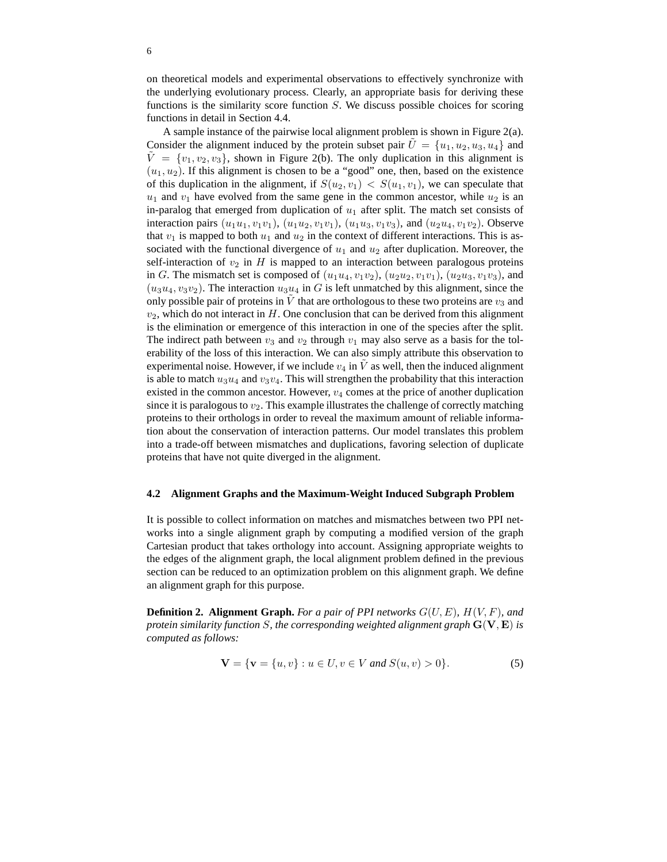on theoretical models and experimental observations to effectively synchronize with the underlying evolutionary process. Clearly, an appropriate basis for deriving these functions is the similarity score function S. We discuss possible choices for scoring functions in detail in Section 4.4.

A sample instance of the pairwise local alignment problem is shown in Figure 2(a). Consider the alignment induced by the protein subset pair  $\tilde{U} = \{u_1, u_2, u_3, u_4\}$  and  $\tilde{V} = \{v_1, v_2, v_3\}$ , shown in Figure 2(b). The only duplication in this alignment is  $(u_1, u_2)$ . If this alignment is chosen to be a "good" one, then, based on the existence of this duplication in the alignment, if  $S(u_2, v_1) < S(u_1, v_1)$ , we can speculate that  $u_1$  and  $v_1$  have evolved from the same gene in the common ancestor, while  $u_2$  is an in-paralog that emerged from duplication of  $u_1$  after split. The match set consists of interaction pairs  $(u_1u_1, v_1v_1), (u_1u_2, v_1v_1), (u_1u_3, v_1v_3),$  and  $(u_2u_4, v_1v_2)$ . Observe that  $v_1$  is mapped to both  $u_1$  and  $u_2$  in the context of different interactions. This is associated with the functional divergence of  $u_1$  and  $u_2$  after duplication. Moreover, the self-interaction of  $v_2$  in  $H$  is mapped to an interaction between paralogous proteins in G. The mismatch set is composed of  $(u_1u_4, v_1v_2), (u_2u_2, v_1v_1), (u_2u_3, v_1v_3)$ , and  $(u_3u_4, v_3v_2)$ . The interaction  $u_3u_4$  in G is left unmatched by this alignment, since the only possible pair of proteins in  $\tilde{V}$  that are orthologous to these two proteins are  $v_3$  and  $v_2$ , which do not interact in H. One conclusion that can be derived from this alignment is the elimination or emergence of this interaction in one of the species after the split. The indirect path between  $v_3$  and  $v_2$  through  $v_1$  may also serve as a basis for the tolerability of the loss of this interaction. We can also simply attribute this observation to experimental noise. However, if we include  $v_4$  in  $\tilde{V}$  as well, then the induced alignment is able to match  $u_3u_4$  and  $v_3v_4$ . This will strengthen the probability that this interaction existed in the common ancestor. However,  $v_4$  comes at the price of another duplication since it is paralogous to  $v_2$ . This example illustrates the challenge of correctly matching proteins to their orthologs in order to reveal the maximum amount of reliable information about the conservation of interaction patterns. Our model translates this problem into a trade-off between mismatches and duplications, favoring selection of duplicate proteins that have not quite diverged in the alignment.

#### **4.2 Alignment Graphs and the Maximum-Weight Induced Subgraph Problem**

It is possible to collect information on matches and mismatches between two PPI networks into a single alignment graph by computing a modified version of the graph Cartesian product that takes orthology into account. Assigning appropriate weights to the edges of the alignment graph, the local alignment problem defined in the previous section can be reduced to an optimization problem on this alignment graph. We define an alignment graph for this purpose.

**Definition 2. Alignment Graph.** *For a pair of PPI networks* G(U, E)*,* H(V, F)*, and protein similarity function* S, the corresponding weighted alignment graph  $\mathbf{G}(\mathbf{V}, \mathbf{E})$  *is computed as follows:*

$$
\mathbf{V} = \{ \mathbf{v} = \{u, v\} : u \in U, v \in V \text{ and } S(u, v) > 0 \}. \tag{5}
$$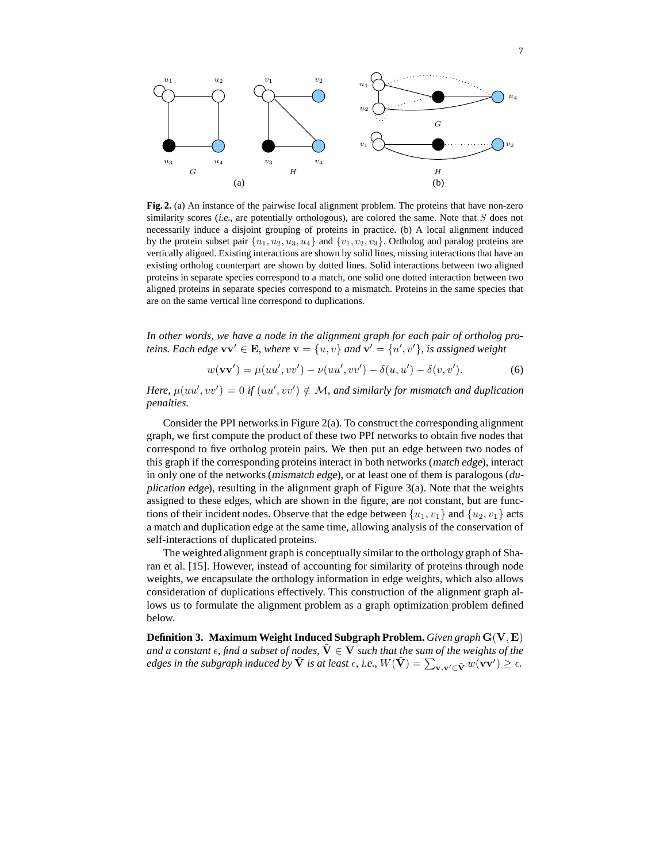

**Fig. 2.** (a) An instance of the pairwise local alignment problem. The proteins that have non-zero similarity scores (i.e., are potentially orthologous), are colored the same. Note that  $S$  does not necessarily induce a disjoint grouping of proteins in practice. (b) A local alignment induced by the protein subset pair  $\{u_1, u_2, u_3, u_4\}$  and  $\{v_1, v_2, v_3\}$ . Ortholog and paralog proteins are vertically aligned. Existing interactions are shown by solid lines, missing interactions that have an existing ortholog counterpart are shown by dotted lines. Solid interactions between two aligned proteins in separate species correspond to a match, one solid one dotted interaction between two aligned proteins in separate species correspond to a mismatch. Proteins in the same species that are on the same vertical line correspond to duplications.

*In other words, we have a node in the alignment graph for each pair of ortholog proteins. Each edge*  $\mathbf{v}\mathbf{v}' \in \mathbf{E}$ *, where*  $\mathbf{v} = \{u, v\}$  and  $\mathbf{v}' = \{u', v'\}$ *, is assigned weight* 

$$
w(\mathbf{v}\mathbf{v}') = \mu(uu', vv') - \nu(uu', vv') - \delta(u, u') - \delta(v, v').
$$
 (6)

*Here,*  $\mu(uu', vv') = 0$  *if*  $(uu', vv') \notin M$ , and similarly for mismatch and duplication *penalties.*

Consider the PPI networks in Figure 2(a). To construct the corresponding alignment graph, we first compute the product of these two PPI networks to obtain five nodes that correspond to five ortholog protein pairs. We then put an edge between two nodes of this graph if the corresponding proteins interact in both networks (match edge), interact in only one of the networks (mismatch edge), or at least one of them is paralogous (duplication edge), resulting in the alignment graph of Figure 3(a). Note that the weights assigned to these edges, which are shown in the figure, are not constant, but are functions of their incident nodes. Observe that the edge between  $\{u_1, v_1\}$  and  $\{u_2, v_1\}$  acts a match and duplication edge at the same time, allowing analysis of the conservation of self-interactions of duplicated proteins.

The weighted alignment graph is conceptually similar to the orthology graph of Sharan et al. [15]. However, instead of accounting for similarity of proteins through node weights, we encapsulate the orthology information in edge weights, which also allows consideration of duplications effectively. This construction of the alignment graph allows us to formulate the alignment problem as a graph optimization problem defined below.

**Definition 3. Maximum Weight Induced Subgraph Problem.** *Given graph* G(V, E) *and a constant*  $\epsilon$ *, find a subset of nodes,*  $\tilde{\mathbf{V}} \in \mathbf{V}$  *such that the sum of the weights of the edges in the subgraph induced by*  $\tilde{V}$  *is at least*  $\epsilon$ , *i.e.,*  $W(\tilde{V}) = \sum_{v,v'\in \tilde{V}} w(vv') \geq \epsilon$ .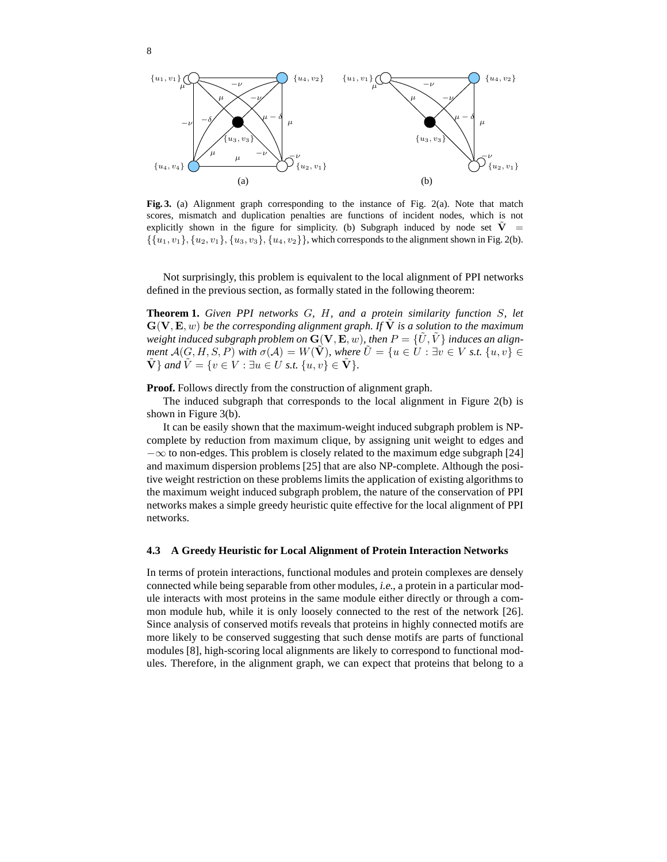

8

**Fig. 3.** (a) Alignment graph corresponding to the instance of Fig. 2(a). Note that match scores, mismatch and duplication penalties are functions of incident nodes, which is not explicitly shown in the figure for simplicity. (b) Subgraph induced by node set  $\tilde{V}$  =  $\{\{u_1, v_1\}, \{u_2, v_1\}, \{u_3, v_3\}, \{u_4, v_2\}\}\,$ , which corresponds to the alignment shown in Fig. 2(b).

Not surprisingly, this problem is equivalent to the local alignment of PPI networks defined in the previous section, as formally stated in the following theorem:

**Theorem 1.** *Given PPI networks* G*,* H*, and a protein similarity function* S*, let*  $\mathbf{G}(\mathbf{V}, \mathbf{E}, w)$  *be the corresponding alignment graph. If*  $\tilde{\mathbf{V}}$  *is a solution to the maximum* weight induced subgraph problem on  $\mathbf{G}(\mathbf{V}, \mathbf{E}, w)$ , then  $P = \{U, V\}$  induces an align*ment*  $\mathcal{A}(G, H, S, P)$  *with*  $\sigma(\mathcal{A}) = W(\tilde{V})$ *, where*  $\tilde{U} = \{u \in U : \exists v \in V \text{ s.t. } \{u, v\} \in \mathcal{A} \}$  $\tilde{\mathbf{V}}$  *and*  $\tilde{V} = \{v \in V : \exists u \in U \text{ s.t. } \{u, v\} \in \tilde{\mathbf{V}}\}.$ 

**Proof.** Follows directly from the construction of alignment graph.

The induced subgraph that corresponds to the local alignment in Figure 2(b) is shown in Figure 3(b).

It can be easily shown that the maximum-weight induced subgraph problem is NPcomplete by reduction from maximum clique, by assigning unit weight to edges and  $-\infty$  to non-edges. This problem is closely related to the maximum edge subgraph [24] and maximum dispersion problems [25] that are also NP-complete. Although the positive weight restriction on these problems limits the application of existing algorithms to the maximum weight induced subgraph problem, the nature of the conservation of PPI networks makes a simple greedy heuristic quite effective for the local alignment of PPI networks.

#### **4.3 A Greedy Heuristic for Local Alignment of Protein Interaction Networks**

In terms of protein interactions, functional modules and protein complexes are densely connected while being separable from other modules, i.e., a protein in a particular module interacts with most proteins in the same module either directly or through a common module hub, while it is only loosely connected to the rest of the network [26]. Since analysis of conserved motifs reveals that proteins in highly connected motifs are more likely to be conserved suggesting that such dense motifs are parts of functional modules [8], high-scoring local alignments are likely to correspond to functional modules. Therefore, in the alignment graph, we can expect that proteins that belong to a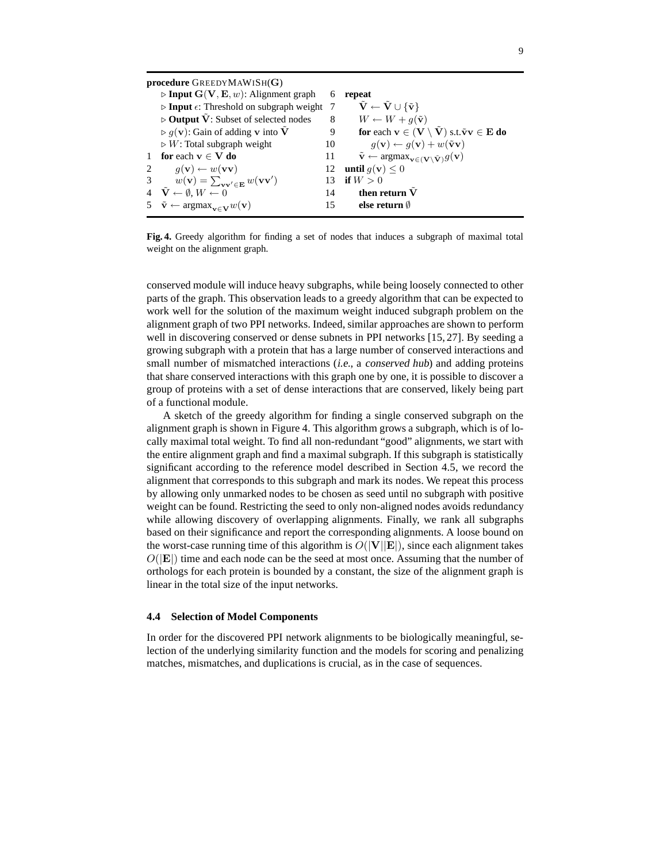| $procedure$ GREEDYMAWISH $(G)$ |                                                                                          |    |                                                                                                                                |
|--------------------------------|------------------------------------------------------------------------------------------|----|--------------------------------------------------------------------------------------------------------------------------------|
|                                | $\triangleright$ Input G(V, E, w): Alignment graph                                       | 6  | repeat                                                                                                                         |
|                                | $\triangleright$ Input $\epsilon$ : Threshold on subgraph weight 7                       |    | $\tilde{\mathbf{V}} \leftarrow \tilde{\mathbf{V}} \cup {\{\tilde{\mathbf{v}}\}}$                                               |
|                                | $\triangleright$ Output $\tilde{V}$ : Subset of selected nodes                           | 8  | $W \leftarrow W + g(\tilde{\mathbf{v}})$                                                                                       |
|                                | $\triangleright$ g( <b>v</b> ): Gain of adding <b>v</b> into <b>V</b>                    | 9  | for each $\mathbf{v} \in (\mathbf{V} \setminus \mathbf{V})$ s.t. $\tilde{\mathbf{v}} \mathbf{v} \in \mathbf{E}$ do             |
|                                | $\triangleright$ W: Total subgraph weight                                                | 10 | $g(\mathbf{v}) \leftarrow g(\mathbf{v}) + w(\tilde{\mathbf{v}}\mathbf{v})$                                                     |
| $\mathbf{1}$                   | for each $v \in V$ do                                                                    | 11 | $\tilde{\mathbf{v}} \leftarrow \operatorname{argmax}_{\mathbf{v} \in (\mathbf{V} \setminus \tilde{\mathbf{V}})} g(\mathbf{v})$ |
| $\mathbf{2}$                   | $q(\mathbf{v}) \leftarrow w(\mathbf{v}\mathbf{v})$                                       | 12 | until $q(\mathbf{v}) \leq 0$                                                                                                   |
|                                | 3 $w(\mathbf{v}) = \sum_{\mathbf{v}\mathbf{v}' \in \mathbf{E}} w(\mathbf{v}\mathbf{v}')$ | 13 | if $W>0$                                                                                                                       |
|                                | $4 \quad \mathbf{V} \leftarrow \emptyset, W \leftarrow 0$                                | 14 | then return V                                                                                                                  |
|                                | 5 $\tilde{\mathbf{v}} \leftarrow \argmax_{\mathbf{v} \in \mathbf{V}} w(\mathbf{v})$      | 15 | else return $\emptyset$                                                                                                        |

**Fig. 4.** Greedy algorithm for finding a set of nodes that induces a subgraph of maximal total weight on the alignment graph.

conserved module will induce heavy subgraphs, while being loosely connected to other parts of the graph. This observation leads to a greedy algorithm that can be expected to work well for the solution of the maximum weight induced subgraph problem on the alignment graph of two PPI networks. Indeed, similar approaches are shown to perform well in discovering conserved or dense subnets in PPI networks [15, 27]. By seeding a growing subgraph with a protein that has a large number of conserved interactions and small number of mismatched interactions (*i.e.*, a conserved hub) and adding proteins that share conserved interactions with this graph one by one, it is possible to discover a group of proteins with a set of dense interactions that are conserved, likely being part of a functional module.

A sketch of the greedy algorithm for finding a single conserved subgraph on the alignment graph is shown in Figure 4. This algorithm grows a subgraph, which is of locally maximal total weight. To find all non-redundant "good" alignments, we start with the entire alignment graph and find a maximal subgraph. If this subgraph is statistically significant according to the reference model described in Section 4.5, we record the alignment that corresponds to this subgraph and mark its nodes. We repeat this process by allowing only unmarked nodes to be chosen as seed until no subgraph with positive weight can be found. Restricting the seed to only non-aligned nodes avoids redundancy while allowing discovery of overlapping alignments. Finally, we rank all subgraphs based on their significance and report the corresponding alignments. A loose bound on the worst-case running time of this algorithm is  $O(|V||E|)$ , since each alignment takes  $O(|E|)$  time and each node can be the seed at most once. Assuming that the number of orthologs for each protein is bounded by a constant, the size of the alignment graph is linear in the total size of the input networks.

#### **4.4 Selection of Model Components**

In order for the discovered PPI network alignments to be biologically meaningful, selection of the underlying similarity function and the models for scoring and penalizing matches, mismatches, and duplications is crucial, as in the case of sequences.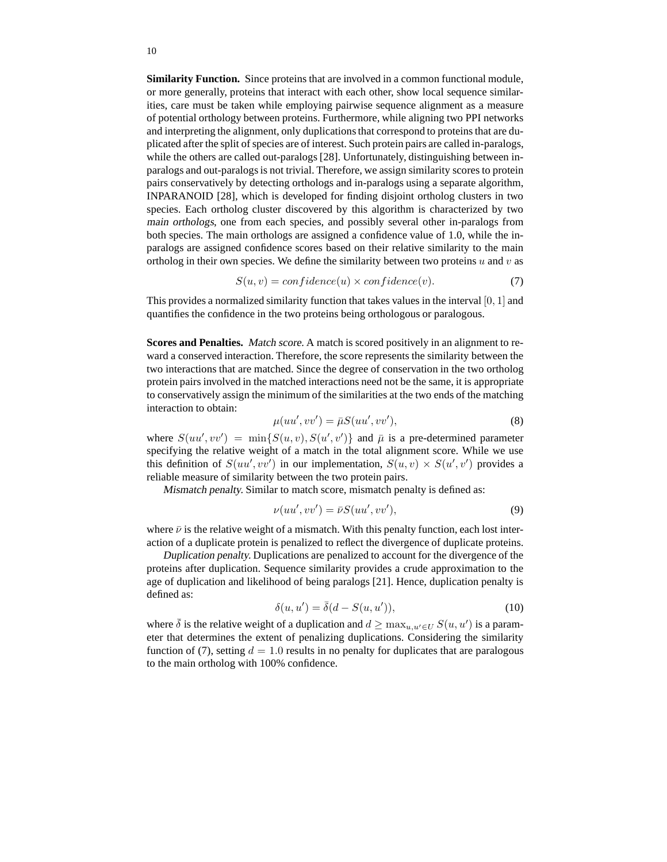**Similarity Function.** Since proteins that are involved in a common functional module, or more generally, proteins that interact with each other, show local sequence similarities, care must be taken while employing pairwise sequence alignment as a measure of potential orthology between proteins. Furthermore, while aligning two PPI networks and interpreting the alignment, only duplications that correspond to proteins that are duplicated after the split of species are of interest. Such protein pairs are called in-paralogs, while the others are called out-paralogs [28]. Unfortunately, distinguishing between inparalogs and out-paralogs is not trivial. Therefore, we assign similarity scores to protein pairs conservatively by detecting orthologs and in-paralogs using a separate algorithm, INPARANOID [28], which is developed for finding disjoint ortholog clusters in two species. Each ortholog cluster discovered by this algorithm is characterized by two main orthologs, one from each species, and possibly several other in-paralogs from both species. The main orthologs are assigned a confidence value of 1.0, while the inparalogs are assigned confidence scores based on their relative similarity to the main ortholog in their own species. We define the similarity between two proteins  $u$  and  $v$  as

$$
S(u, v) = confidence(u) \times confidence(v). \tag{7}
$$

This provides a normalized similarity function that takes values in the interval  $[0, 1]$  and quantifies the confidence in the two proteins being orthologous or paralogous.

**Scores and Penalties.** Match score. A match is scored positively in an alignment to reward a conserved interaction. Therefore, the score represents the similarity between the two interactions that are matched. Since the degree of conservation in the two ortholog protein pairs involved in the matched interactions need not be the same, it is appropriate to conservatively assign the minimum of the similarities at the two ends of the matching interaction to obtain:

$$
\mu(uu', vv') = \bar{\mu} S(uu', vv'),\tag{8}
$$

where  $S(uu', vv') = \min\{S(u, v), S(u', v')\}$  and  $\bar{\mu}$  is a pre-determined parameter specifying the relative weight of a match in the total alignment score. While we use this definition of  $S(uu', vv')$  in our implementation,  $S(u, v) \times S(u', v')$  provides a reliable measure of similarity between the two protein pairs.

Mismatch penalty. Similar to match score, mismatch penalty is defined as:

$$
\nu(uu', vv') = \bar{\nu} S(uu', vv'),\tag{9}
$$

where  $\bar{\nu}$  is the relative weight of a mismatch. With this penalty function, each lost interaction of a duplicate protein is penalized to reflect the divergence of duplicate proteins.

Duplication penalty. Duplications are penalized to account for the divergence of the proteins after duplication. Sequence similarity provides a crude approximation to the age of duplication and likelihood of being paralogs [21]. Hence, duplication penalty is defined as:

$$
\delta(u, u') = \bar{\delta}(d - S(u, u')), \qquad (10)
$$

where  $\bar{\delta}$  is the relative weight of a duplication and  $d \geq \max_{u, u' \in U} S(u, u')$  is a parameter that determines the extent of penalizing duplications. Considering the similarity function of (7), setting  $d = 1.0$  results in no penalty for duplicates that are paralogous to the main ortholog with 100% confidence.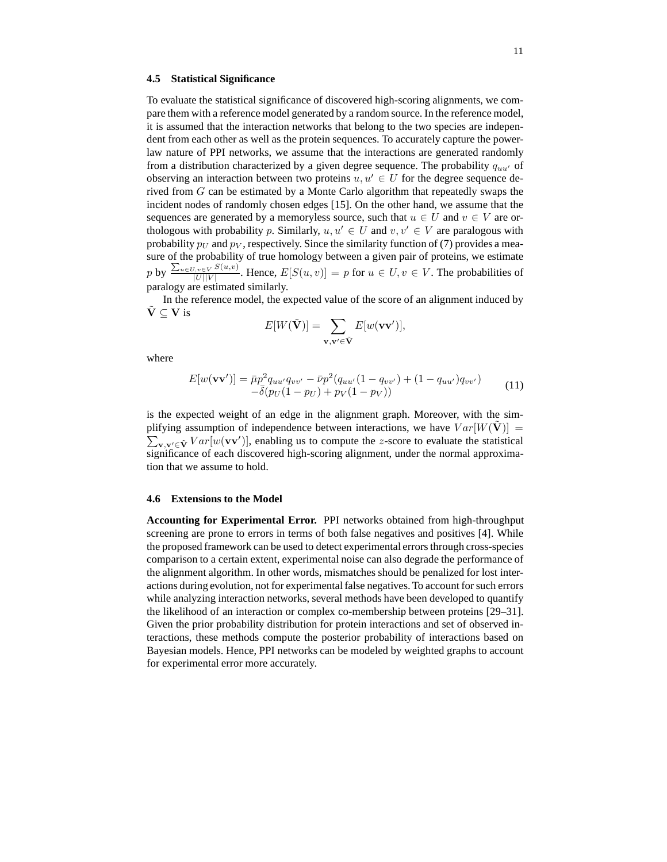#### **4.5 Statistical Significance**

To evaluate the statistical significance of discovered high-scoring alignments, we compare them with a reference model generated by a random source. In the reference model, it is assumed that the interaction networks that belong to the two species are independent from each other as well as the protein sequences. To accurately capture the powerlaw nature of PPI networks, we assume that the interactions are generated randomly from a distribution characterized by a given degree sequence. The probability  $q_{uu'}$  of observing an interaction between two proteins  $u, u' \in U$  for the degree sequence derived from G can be estimated by a Monte Carlo algorithm that repeatedly swaps the incident nodes of randomly chosen edges [15]. On the other hand, we assume that the sequences are generated by a memoryless source, such that  $u \in U$  and  $v \in V$  are orthologous with probability p. Similarly,  $u, u' \in U$  and  $v, v' \in V$  are paralogous with probability  $p_U$  and  $p_V$ , respectively. Since the similarity function of (7) provides a measure of the probability of true homology between a given pair of proteins, we estimate p by  $\frac{\sum_{u \in U, v \in V} S(u,v)}{|U||V|}$  $\frac{U_{U}U_{U}(V)}{||U||V||}$ . Hence,  $E[S(u, v)] = p$  for  $u \in U, v \in V$ . The probabilities of paralogy are estimated similarly.

In the reference model, the expected value of the score of an alignment induced by  $V \subseteq V$  is

$$
E[W(\tilde{\mathbf{V}})] = \sum_{\mathbf{v},\mathbf{v}' \in \tilde{\mathbf{V}}} E[w(\mathbf{v}\mathbf{v}')] ,
$$

where

$$
E[w(\mathbf{v}\mathbf{v}')] = \bar{\mu}p^2 q_{uu'} q_{vv'} - \bar{\nu}p^2 (q_{uu'}(1 - q_{vv'}) + (1 - q_{uu'}) q_{vv'}) -\delta(p_U(1 - p_U) + p_V(1 - p_V))
$$
\n(11)

is the expected weight of an edge in the alignment graph. Moreover, with the simplifying assumption of independence between interactions, we have  $Var[W(\tilde{\mathbf{V}})]$  =  $\sum_{\mathbf{v},\mathbf{v}' \in \tilde{\mathbf{V}}} Var[w(\mathbf{v}\mathbf{v}')]$ , enabling us to compute the z-score to evaluate the statistical significance of each discovered high-scoring alignment, under the normal approximation that we assume to hold.

#### **4.6 Extensions to the Model**

**Accounting for Experimental Error.** PPI networks obtained from high-throughput screening are prone to errors in terms of both false negatives and positives [4]. While the proposed framework can be used to detect experimental errors through cross-species comparison to a certain extent, experimental noise can also degrade the performance of the alignment algorithm. In other words, mismatches should be penalized for lost interactions during evolution, not for experimental false negatives. To account for such errors while analyzing interaction networks, several methods have been developed to quantify the likelihood of an interaction or complex co-membership between proteins [29–31]. Given the prior probability distribution for protein interactions and set of observed interactions, these methods compute the posterior probability of interactions based on Bayesian models. Hence, PPI networks can be modeled by weighted graphs to account for experimental error more accurately.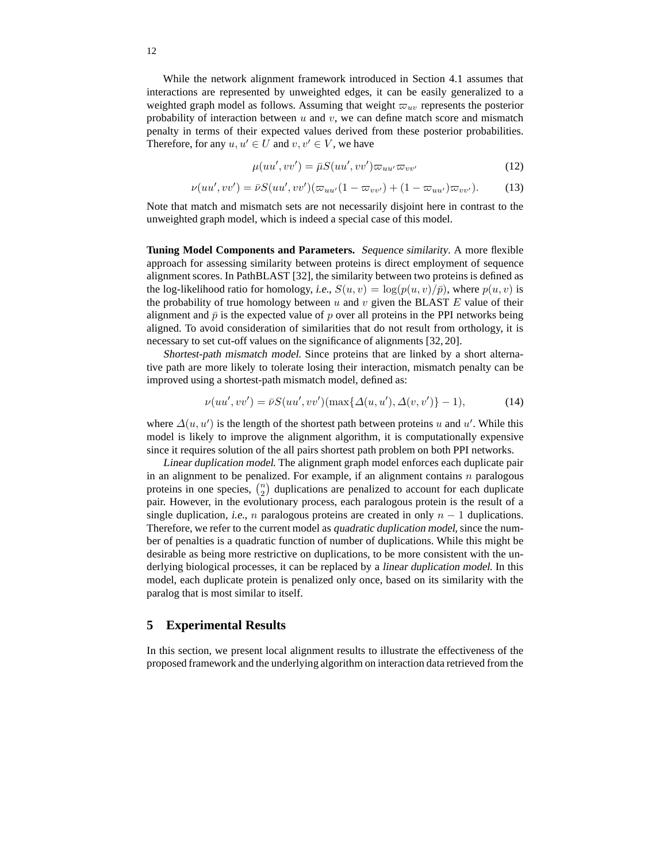While the network alignment framework introduced in Section 4.1 assumes that interactions are represented by unweighted edges, it can be easily generalized to a weighted graph model as follows. Assuming that weight  $\varpi_{uv}$  represents the posterior probability of interaction between  $u$  and  $v$ , we can define match score and mismatch penalty in terms of their expected values derived from these posterior probabilities. Therefore, for any  $u, u' \in U$  and  $v, v' \in V$ , we have

$$
\mu(uu', vv') = \bar{\mu} S(uu', vv') \varpi_{uu'} \varpi_{vv'} \tag{12}
$$

$$
\nu(uu',vv') = \bar{\nu}S(uu',vv')(\varpi_{uu'}(1-\varpi_{vv'}) + (1-\varpi_{uu'})\varpi_{vv'}).
$$
 (13)

Note that match and mismatch sets are not necessarily disjoint here in contrast to the unweighted graph model, which is indeed a special case of this model.

**Tuning Model Components and Parameters.** Sequence similarity. A more flexible approach for assessing similarity between proteins is direct employment of sequence alignment scores. In PathBLAST [32], the similarity between two proteins is defined as the log-likelihood ratio for homology, i.e.,  $S(u, v) = \log(p(u, v)/\overline{p})$ , where  $p(u, v)$  is the probability of true homology between  $u$  and  $v$  given the BLAST  $E$  value of their alignment and  $\bar{p}$  is the expected value of p over all proteins in the PPI networks being aligned. To avoid consideration of similarities that do not result from orthology, it is necessary to set cut-off values on the significance of alignments [32, 20].

Shortest-path mismatch model. Since proteins that are linked by a short alternative path are more likely to tolerate losing their interaction, mismatch penalty can be improved using a shortest-path mismatch model, defined as:

$$
\nu(uu',vv') = \bar{\nu}S(uu',vv')(\max\{\Delta(u,u'),\Delta(v,v')\}-1),\tag{14}
$$

where  $\Delta(u, u')$  is the length of the shortest path between proteins u and u'. While this model is likely to improve the alignment algorithm, it is computationally expensive since it requires solution of the all pairs shortest path problem on both PPI networks.

Linear duplication model. The alignment graph model enforces each duplicate pair in an alignment to be penalized. For example, if an alignment contains  $n$  paralogous proteins in one species,  $\binom{n}{2}$  duplications are penalized to account for each duplicate pair. However, in the evolutionary process, each paralogous protein is the result of a single duplication, i.e., *n* paralogous proteins are created in only  $n - 1$  duplications. Therefore, we refer to the current model as quadratic duplication model, since the number of penalties is a quadratic function of number of duplications. While this might be desirable as being more restrictive on duplications, to be more consistent with the underlying biological processes, it can be replaced by a linear duplication model. In this model, each duplicate protein is penalized only once, based on its similarity with the paralog that is most similar to itself.

#### **5 Experimental Results**

In this section, we present local alignment results to illustrate the effectiveness of the proposed framework and the underlying algorithm on interaction data retrieved from the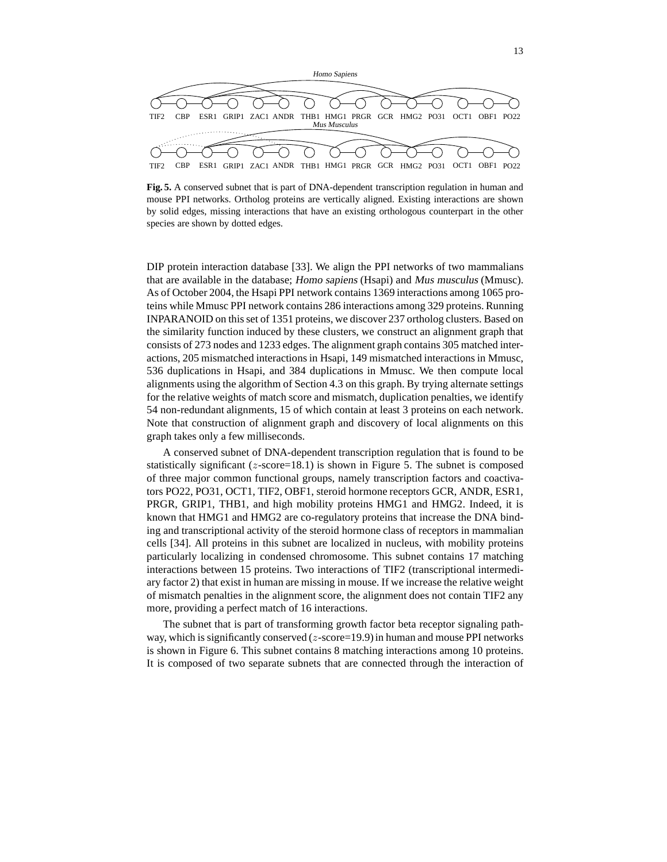

**Fig. 5.** A conserved subnet that is part of DNA-dependent transcription regulation in human and mouse PPI networks. Ortholog proteins are vertically aligned. Existing interactions are shown by solid edges, missing interactions that have an existing orthologous counterpart in the other species are shown by dotted edges.

DIP protein interaction database [33]. We align the PPI networks of two mammalians that are available in the database; Homo sapiens (Hsapi) and Mus musculus (Mmusc). As of October 2004, the Hsapi PPI network contains 1369 interactions among 1065 proteins while Mmusc PPI network contains 286 interactions among 329 proteins. Running INPARANOID on this set of 1351 proteins, we discover 237 ortholog clusters. Based on the similarity function induced by these clusters, we construct an alignment graph that consists of 273 nodes and 1233 edges. The alignment graph contains 305 matched interactions, 205 mismatched interactions in Hsapi, 149 mismatched interactions in Mmusc, 536 duplications in Hsapi, and 384 duplications in Mmusc. We then compute local alignments using the algorithm of Section 4.3 on this graph. By trying alternate settings for the relative weights of match score and mismatch, duplication penalties, we identify 54 non-redundant alignments, 15 of which contain at least 3 proteins on each network. Note that construction of alignment graph and discovery of local alignments on this graph takes only a few milliseconds.

A conserved subnet of DNA-dependent transcription regulation that is found to be statistically significant  $(z\text{-score}=18.1)$  is shown in Figure 5. The subnet is composed of three major common functional groups, namely transcription factors and coactivators PO22, PO31, OCT1, TIF2, OBF1, steroid hormone receptors GCR, ANDR, ESR1, PRGR, GRIP1, THB1, and high mobility proteins HMG1 and HMG2. Indeed, it is known that HMG1 and HMG2 are co-regulatory proteins that increase the DNA binding and transcriptional activity of the steroid hormone class of receptors in mammalian cells [34]. All proteins in this subnet are localized in nucleus, with mobility proteins particularly localizing in condensed chromosome. This subnet contains 17 matching interactions between 15 proteins. Two interactions of TIF2 (transcriptional intermediary factor 2) that exist in human are missing in mouse. If we increase the relative weight of mismatch penalties in the alignment score, the alignment does not contain TIF2 any more, providing a perfect match of 16 interactions.

The subnet that is part of transforming growth factor beta receptor signaling pathway, which is significantly conserved  $(z\text{-score}=19.9)$  in human and mouse PPI networks is shown in Figure 6. This subnet contains 8 matching interactions among 10 proteins. It is composed of two separate subnets that are connected through the interaction of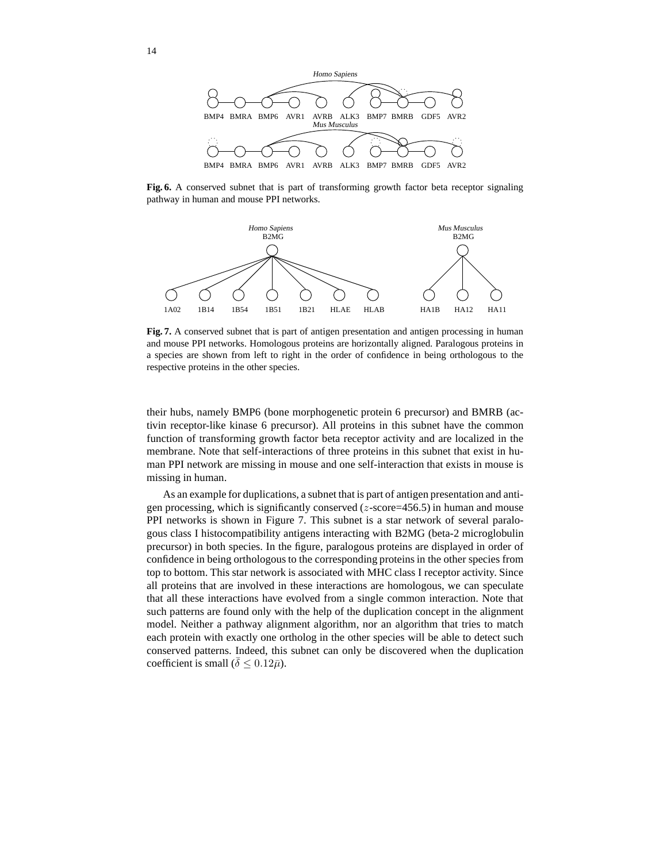

**Fig. 6.** A conserved subnet that is part of transforming growth factor beta receptor signaling pathway in human and mouse PPI networks.



**Fig. 7.** A conserved subnet that is part of antigen presentation and antigen processing in human and mouse PPI networks. Homologous proteins are horizontally aligned. Paralogous proteins in a species are shown from left to right in the order of confidence in being orthologous to the respective proteins in the other species.

their hubs, namely BMP6 (bone morphogenetic protein 6 precursor) and BMRB (activin receptor-like kinase 6 precursor). All proteins in this subnet have the common function of transforming growth factor beta receptor activity and are localized in the membrane. Note that self-interactions of three proteins in this subnet that exist in human PPI network are missing in mouse and one self-interaction that exists in mouse is missing in human.

As an example for duplications, a subnet that is part of antigen presentation and antigen processing, which is significantly conserved  $(z$ -score=456.5) in human and mouse PPI networks is shown in Figure 7. This subnet is a star network of several paralogous class I histocompatibility antigens interacting with B2MG (beta-2 microglobulin precursor) in both species. In the figure, paralogous proteins are displayed in order of confidence in being orthologous to the corresponding proteins in the other species from top to bottom. This star network is associated with MHC class I receptor activity. Since all proteins that are involved in these interactions are homologous, we can speculate that all these interactions have evolved from a single common interaction. Note that such patterns are found only with the help of the duplication concept in the alignment model. Neither a pathway alignment algorithm, nor an algorithm that tries to match each protein with exactly one ortholog in the other species will be able to detect such conserved patterns. Indeed, this subnet can only be discovered when the duplication coefficient is small  $(\bar{\delta} \leq 0.12\bar{\mu})$ .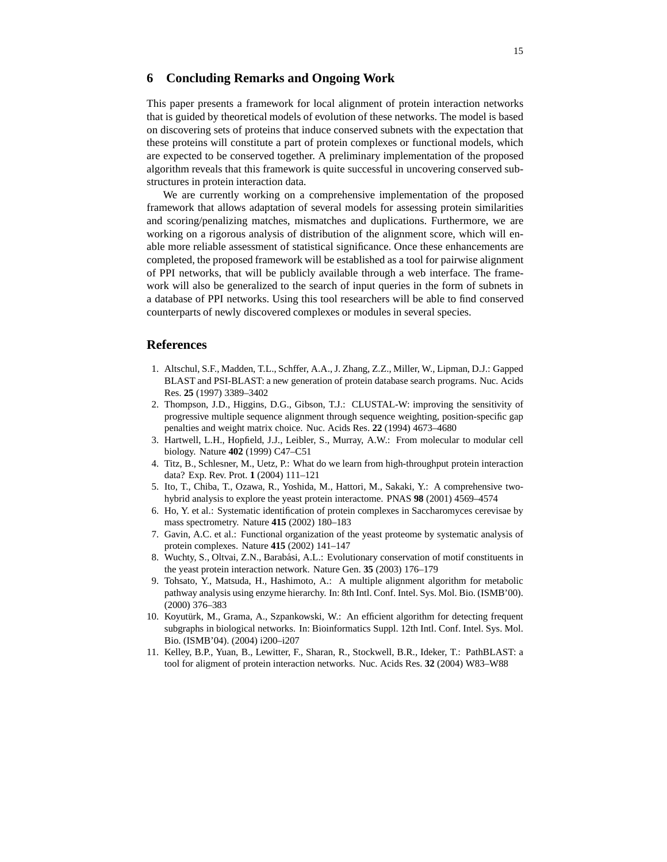## **6 Concluding Remarks and Ongoing Work**

This paper presents a framework for local alignment of protein interaction networks that is guided by theoretical models of evolution of these networks. The model is based on discovering sets of proteins that induce conserved subnets with the expectation that these proteins will constitute a part of protein complexes or functional models, which are expected to be conserved together. A preliminary implementation of the proposed algorithm reveals that this framework is quite successful in uncovering conserved substructures in protein interaction data.

We are currently working on a comprehensive implementation of the proposed framework that allows adaptation of several models for assessing protein similarities and scoring/penalizing matches, mismatches and duplications. Furthermore, we are working on a rigorous analysis of distribution of the alignment score, which will enable more reliable assessment of statistical significance. Once these enhancements are completed, the proposed framework will be established as a tool for pairwise alignment of PPI networks, that will be publicly available through a web interface. The framework will also be generalized to the search of input queries in the form of subnets in a database of PPI networks. Using this tool researchers will be able to find conserved counterparts of newly discovered complexes or modules in several species.

#### **References**

- 1. Altschul, S.F., Madden, T.L., Schffer, A.A., J. Zhang, Z.Z., Miller, W., Lipman, D.J.: Gapped BLAST and PSI-BLAST: a new generation of protein database search programs. Nuc. Acids Res. **25** (1997) 3389–3402
- 2. Thompson, J.D., Higgins, D.G., Gibson, T.J.: CLUSTAL-W: improving the sensitivity of progressive multiple sequence alignment through sequence weighting, position-specific gap penalties and weight matrix choice. Nuc. Acids Res. **22** (1994) 4673–4680
- 3. Hartwell, L.H., Hopfield, J.J., Leibler, S., Murray, A.W.: From molecular to modular cell biology. Nature **402** (1999) C47–C51
- 4. Titz, B., Schlesner, M., Uetz, P.: What do we learn from high-throughput protein interaction data? Exp. Rev. Prot. **1** (2004) 111–121
- 5. Ito, T., Chiba, T., Ozawa, R., Yoshida, M., Hattori, M., Sakaki, Y.: A comprehensive twohybrid analysis to explore the yeast protein interactome. PNAS **98** (2001) 4569–4574
- 6. Ho, Y. et al.: Systematic identification of protein complexes in Saccharomyces cerevisae by mass spectrometry. Nature **415** (2002) 180–183
- 7. Gavin, A.C. et al.: Functional organization of the yeast proteome by systematic analysis of protein complexes. Nature **415** (2002) 141–147
- 8. Wuchty, S., Oltvai, Z.N., Barabási, A.L.: Evolutionary conservation of motif constituents in the yeast protein interaction network. Nature Gen. **35** (2003) 176–179
- 9. Tohsato, Y., Matsuda, H., Hashimoto, A.: A multiple alignment algorithm for metabolic pathway analysis using enzyme hierarchy. In: 8th Intl. Conf. Intel. Sys. Mol. Bio. (ISMB'00). (2000) 376–383
- 10. Koyutürk, M., Grama, A., Szpankowski, W.: An efficient algorithm for detecting frequent subgraphs in biological networks. In: Bioinformatics Suppl. 12th Intl. Conf. Intel. Sys. Mol. Bio. (ISMB'04). (2004) i200–i207
- 11. Kelley, B.P., Yuan, B., Lewitter, F., Sharan, R., Stockwell, B.R., Ideker, T.: PathBLAST: a tool for aligment of protein interaction networks. Nuc. Acids Res. **32** (2004) W83–W88